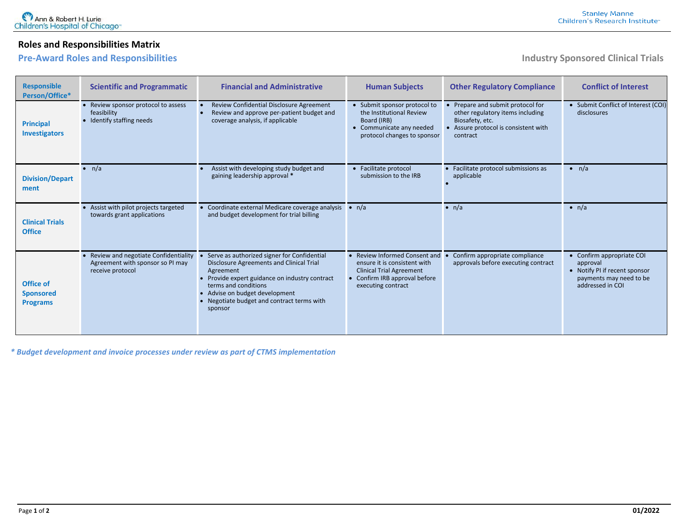## **Roles and Responsibilities Matrix**

# **Pre-Award Roles and Responsibilities Industry Sponsored Clinical Trials**

Stanley Manne<br>Children's Research Institute®

| <b>Responsible</b><br>Person/Office*             | <b>Scientific and Programmatic</b>                                                             | <b>Financial and Administrative</b>                                                                                                                                                                                                                                       | <b>Human Subjects</b>                                                                                                                                   | <b>Other Regulatory Compliance</b>                                                                                                         | <b>Conflict of Interest</b>                                                                                           |
|--------------------------------------------------|------------------------------------------------------------------------------------------------|---------------------------------------------------------------------------------------------------------------------------------------------------------------------------------------------------------------------------------------------------------------------------|---------------------------------------------------------------------------------------------------------------------------------------------------------|--------------------------------------------------------------------------------------------------------------------------------------------|-----------------------------------------------------------------------------------------------------------------------|
| <b>Principal</b><br><b>Investigators</b>         | • Review sponsor protocol to assess<br>feasibility<br>• Identify staffing needs                | Review Confidential Disclosure Agreement<br>Review and approve per-patient budget and<br>coverage analysis, if applicable                                                                                                                                                 | • Submit sponsor protocol to<br>the Institutional Review<br>Board (IRB)<br>• Communicate any needed<br>protocol changes to sponsor                      | Prepare and submit protocol for<br>other regulatory items including<br>Biosafety, etc.<br>• Assure protocol is consistent with<br>contract | • Submit Conflict of Interest (COI)<br>disclosures                                                                    |
| <b>Division/Depart</b><br>ment                   | $\bullet$ n/a                                                                                  | Assist with developing study budget and<br>gaining leadership approval *                                                                                                                                                                                                  | • Facilitate protocol<br>submission to the IRB                                                                                                          | • Facilitate protocol submissions as<br>applicable                                                                                         | $\bullet$ n/a                                                                                                         |
| <b>Clinical Trials</b><br><b>Office</b>          | Assist with pilot projects targeted<br>towards grant applications                              | • Coordinate external Medicare coverage analysis<br>and budget development for trial billing                                                                                                                                                                              | $\bullet$ n/a                                                                                                                                           | $\bullet$ n/a                                                                                                                              | $\bullet$ n/a                                                                                                         |
| Office of<br><b>Sponsored</b><br><b>Programs</b> | • Review and negotiate Confidentiality<br>Agreement with sponsor so PI may<br>receive protocol | Serve as authorized signer for Confidential<br>Disclosure Agreements and Clinical Trial<br>Agreement<br>• Provide expert guidance on industry contract<br>terms and conditions<br>• Advise on budget development<br>• Negotiate budget and contract terms with<br>sponsor | • Review Informed Consent and<br>ensure it is consistent with<br><b>Clinical Trial Agreement</b><br>• Confirm IRB approval before<br>executing contract | Confirm appropriate compliance<br>approvals before executing contract                                                                      | • Confirm appropriate COI<br>approval<br>• Notify PI if recent sponsor<br>payments may need to be<br>addressed in COI |

*\* Budget development and invoice processes under review as part of CTMS implementation*